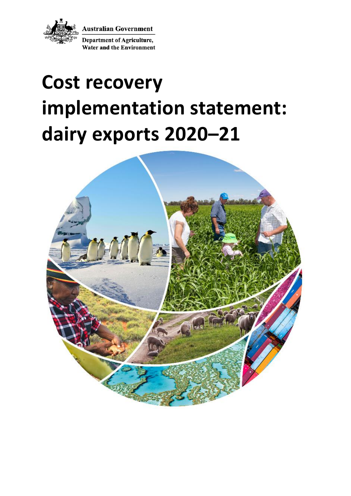

**Australian Government** 

**Department of Agriculture, Water and the Environment** 

# **Cost recovery implementation statement: dairy exports 2020–21**

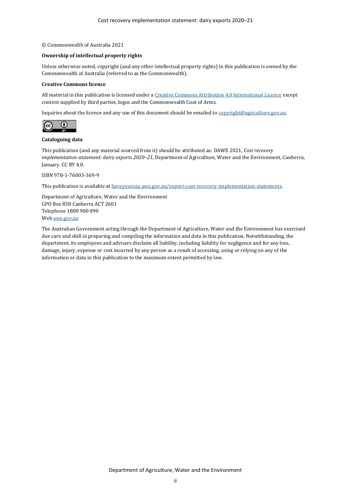#### © Commonwealth of Australia 2021

#### **Ownership of intellectual property rights**

Unless otherwise noted, copyright (and any other intellectual property rights) in this publication is owned by the Commonwealth of Australia (referred to as the Commonwealth).

#### **Creative Commons licence**

All material in this publication is licensed under [a Creative Commons Attribution 4.0 International Licence](https://creativecommons.org/licenses/by/4.0/legalcode) except content supplied by third parties, logos and the Commonwealth Coat of Arms.

Inquiries about the licence and any use of this document should be emailed t[o copyright@agriculture.gov.au.](mailto:copyright@agriculture.gov.au)



#### **Cataloguing data**

This publication (and any material sourced from it) should be attributed as: DAWE 2021, *Cost recovery implementation statement: dairy exports 2020–21*, Department of Agriculture, Water and the Environment, Canberra, January. CC BY 4.0.

ISBN 978-1-76003-369-9

This publication is available a[t haveyoursay.awe.gov.au/export-cost-recovery-implementation-statements.](file://///ACT001FSRVP02/ParliamentMedia$/ParliamentMedia/Corporate%20Communications/Production/Editors/Editing%202021/CRIS%20Jan/CRIS%20check/haveyoursay.awe.gov.au/export-cost-recovery-implementation-statements)

Department of Agriculture, Water and the Environment GPO Box 858 Canberra ACT 2601 Telephone 1800 900 090 We[b awe.gov.au](https://www.awe.gov.au/)

The Australian Government acting through the Department of Agriculture, Water and the Environment has exercised due care and skill in preparing and compiling the information and data in this publication. Notwithstanding, the department, its employees and advisers disclaim all liability, including liability for negligence and for any loss, damage, injury, expense or cost incurred by any person as a result of accessing, using or relying on any of the information or data in this publication to the maximum extent permitted by law.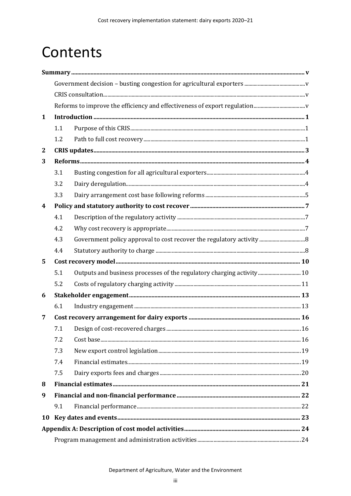# Contents

| 1  |     |                                                                       |  |  |  |  |
|----|-----|-----------------------------------------------------------------------|--|--|--|--|
|    | 1.1 |                                                                       |  |  |  |  |
|    | 1.2 |                                                                       |  |  |  |  |
| 2  |     |                                                                       |  |  |  |  |
| 3  |     |                                                                       |  |  |  |  |
|    | 3.1 |                                                                       |  |  |  |  |
|    | 3.2 |                                                                       |  |  |  |  |
|    | 3.3 |                                                                       |  |  |  |  |
| 4  |     |                                                                       |  |  |  |  |
|    | 4.1 |                                                                       |  |  |  |  |
|    | 4.2 |                                                                       |  |  |  |  |
|    | 4.3 |                                                                       |  |  |  |  |
|    | 4.4 |                                                                       |  |  |  |  |
| 5  |     |                                                                       |  |  |  |  |
|    | 5.1 | Outputs and business processes of the regulatory charging activity 10 |  |  |  |  |
|    | 5.2 |                                                                       |  |  |  |  |
| 6  |     |                                                                       |  |  |  |  |
|    | 6.1 |                                                                       |  |  |  |  |
| 7  |     |                                                                       |  |  |  |  |
|    | 7.1 |                                                                       |  |  |  |  |
|    | 7.2 |                                                                       |  |  |  |  |
|    | 7.3 |                                                                       |  |  |  |  |
|    | 7.4 |                                                                       |  |  |  |  |
|    | 7.5 |                                                                       |  |  |  |  |
| 8  |     |                                                                       |  |  |  |  |
| 9  |     |                                                                       |  |  |  |  |
|    | 9.1 |                                                                       |  |  |  |  |
| 10 |     |                                                                       |  |  |  |  |
|    |     |                                                                       |  |  |  |  |
|    |     |                                                                       |  |  |  |  |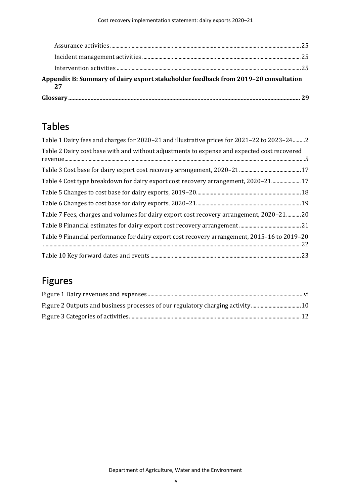|                                                                                    | 20 |
|------------------------------------------------------------------------------------|----|
| Appendix B: Summary of dairy export stakeholder feedback from 2019-20 consultation |    |
|                                                                                    |    |
|                                                                                    |    |
|                                                                                    |    |

# Tables

| Table 1 Dairy fees and charges for 2020–21 and illustrative prices for 2021–22 to 2023–242   |
|----------------------------------------------------------------------------------------------|
| Table 2 Dairy cost base with and without adjustments to expense and expected cost recovered  |
|                                                                                              |
| Table 4 Cost type breakdown for dairy export cost recovery arrangement, 2020-21 17           |
|                                                                                              |
|                                                                                              |
| Table 7 Fees, charges and volumes for dairy export cost recovery arrangement, 2020–2120      |
|                                                                                              |
| Table 9 Financial performance for dairy export cost recovery arrangement, 2015–16 to 2019–20 |
|                                                                                              |

# Figures

| Figure 2 Outputs and business processes of our regulatory charging activity 10 |  |
|--------------------------------------------------------------------------------|--|
|                                                                                |  |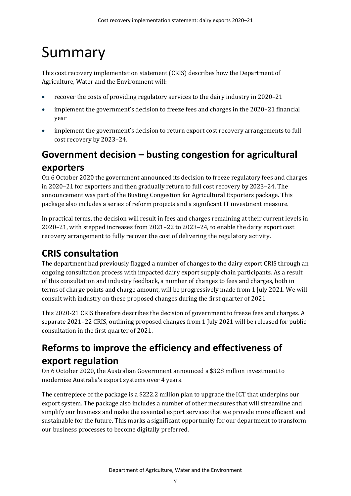# <span id="page-4-0"></span>Summary

This cost recovery implementation statement (CRIS) describes how the Department of Agriculture, Water and the Environment will:

- recover the costs of providing regulatory services to the dairy industry in 2020–21
- implement the government's decision to freeze fees and charges in the 2020–21 financial year
- implement the government's decision to return export cost recovery arrangements to full cost recovery by 2023–24.

# <span id="page-4-1"></span>**Government decision – busting congestion for agricultural exporters**

On 6 October 2020 the government announced its decision to freeze regulatory fees and charges in 2020–21 for exporters and then gradually return to full cost recovery by 2023–24. The announcement was part of the Busting Congestion for Agricultural Exporters package. This package also includes a series of reform projects and a significant IT investment measure.

In practical terms, the decision will result in fees and charges remaining at their current levels in 2020–21, with stepped increases from 2021–22 to 2023–24, to enable the dairy export cost recovery arrangement to fully recover the cost of delivering the regulatory activity.

# <span id="page-4-2"></span>**CRIS consultation**

The department had previously flagged a number of changes to the dairy export CRIS through an ongoing consultation process with impacted dairy export supply chain participants. As a result of this consultation and industry feedback, a number of changes to fees and charges, both in terms of charge points and charge amount, will be progressively made from 1 July 2021. We will consult with industry on these proposed changes during the first quarter of 2021.

This 2020-21 CRIS therefore describes the decision of government to freeze fees and charges. A separate 2021–22 CRIS, outlining proposed changes from 1 July 2021 will be released for public consultation in the first quarter of 2021.

# <span id="page-4-3"></span>**Reforms to improve the efficiency and effectiveness of export regulation**

On 6 October 2020, the Australian Government announced a \$328 million investment to modernise Australia's export systems over 4 years.

The centrepiece of the package is a \$222.2 million plan to upgrade the ICT that underpins our export system. The package also includes a number of other measures that will streamline and simplify our business and make the essential export services that we provide more efficient and sustainable for the future. This marks a significant opportunity for our department to transform our business processes to become digitally preferred.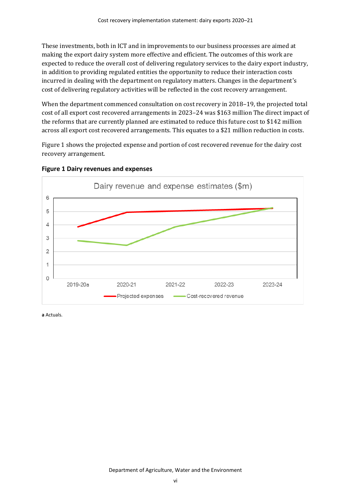These investments, both in ICT and in improvements to our business processes are aimed at making the export dairy system more effective and efficient. The outcomes of this work are expected to reduce the overall cost of delivering regulatory services to the dairy export industry, in addition to providing regulated entities the opportunity to reduce their interaction costs incurred in dealing with the department on regulatory matters. Changes in the department's cost of delivering regulatory activities will be reflected in the cost recovery arrangement.

When the department commenced consultation on cost recovery in 2018–19, the projected total cost of all export cost recovered arrangements in 2023–24 was \$163 million The direct impact of the reforms that are currently planned are estimated to reduce this future cost to \$142 million across all export cost recovered arrangements. This equates to a \$21 million reduction in costs.

[Figure 1](#page-5-0) shows the projected expense and portion of cost recovered revenue for the dairy cost recovery arrangement.



<span id="page-5-0"></span>**Figure 1 Dairy revenues and expenses**

**a** Actuals.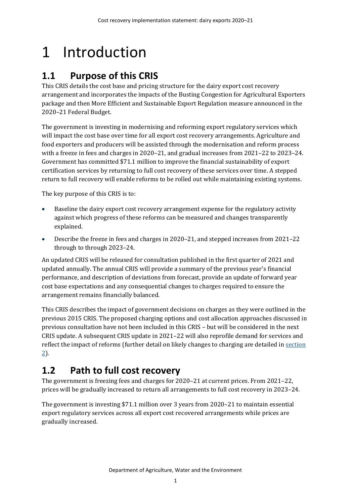# <span id="page-6-0"></span>1 Introduction

# <span id="page-6-1"></span>**1.1 Purpose of this CRIS**

This CRIS details the cost base and pricing structure for the dairy export cost recovery arrangement and incorporates the impacts of the Busting Congestion for Agricultural Exporters package and then More Efficient and Sustainable Export Regulation measure announced in the 2020–21 Federal Budget.

The government is investing in modernising and reforming export regulatory services which will impact the cost base over time for all export cost recovery arrangements. Agriculture and food exporters and producers will be assisted through the modernisation and reform process with a freeze in fees and charges in 2020–21, and gradual increases from 2021–22 to 2023–24. Government has committed \$71.1 million to improve the financial sustainability of export certification services by returning to full cost recovery of these services over time. A stepped return to full recovery will enable reforms to be rolled out while maintaining existing systems.

The key purpose of this CRIS is to:

- Baseline the dairy export cost recovery arrangement expense for the regulatory activity against which progress of these reforms can be measured and changes transparently explained.
- Describe the freeze in fees and charges in 2020–21, and stepped increases from 2021–22 through to through 2023–24.

An updated CRIS will be released for consultation published in the first quarter of 2021 and updated annually. The annual CRIS will provide a summary of the previous year's financial performance, and description of deviations from forecast, provide an update of forward year cost base expectations and any consequential changes to charges required to ensure the arrangement remains financially balanced.

This CRIS describes the impact of government decisions on charges as they were outlined in the previous 2015 CRIS. The proposed charging options and cost allocation approaches discussed in previous consultation have not been included in this CRIS – but will be considered in the next CRIS update. A subsequent CRIS update in 2021–22 will also reprofile demand for services and reflect the impact of reforms (further detail on likely changes to charging are detailed i[n section](#page-8-0) [2\)](#page-8-0).

# <span id="page-6-2"></span>**1.2 Path to full cost recovery**

The government is freezing fees and charges for 2020–21 at current prices. From 2021–22, prices will be gradually increased to return all arrangements to full cost recovery in 2023–24.

The government is investing \$71.1 million over 3 years from 2020–21 to maintain essential export regulatory services across all export cost recovered arrangements while prices are gradually increased.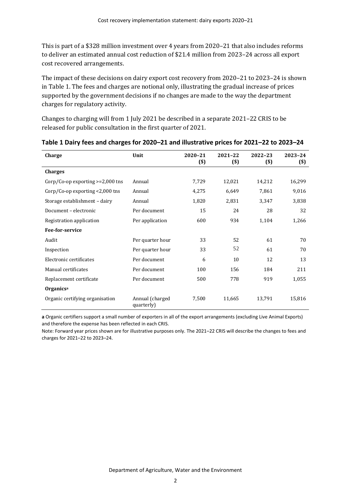This is part of a \$328 million investment over 4 years from 2020–21 that also includes reforms to deliver an estimated annual cost reduction of \$21.4 million from 2023–24 across all export cost recovered arrangements.

The impact of these decisions on dairy export cost recovery from 2020–21 to 2023–24 is shown i[n Table 1.](#page-7-0) The fees and charges are notional only, illustrating the gradual increase of prices supported by the government decisions if no changes are made to the way the department charges for regulatory activity.

Changes to charging will from 1 July 2021 be described in a separate 2021–22 CRIS to be released for public consultation in the first quarter of 2021.

| Charge                                | Unit                          | 2020-21<br>$($)$ | 2021-22<br>$($)$ | 2022-23<br>$($)$ | 2023-24<br>$($)$ |
|---------------------------------------|-------------------------------|------------------|------------------|------------------|------------------|
| <b>Charges</b>                        |                               |                  |                  |                  |                  |
| $Corp/Co$ -op exporting $>=2,000$ tns | Annual                        | 7,729            | 12,021           | 14,212           | 16,299           |
| Corp/Co-op exporting <2,000 tns       | Annual                        | 4,275            | 6,649            | 7,861            | 9,016            |
| Storage establishment - dairy         | Annual                        | 1,820            | 2,831            | 3,347            | 3,838            |
| Document - electronic                 | Per document                  | 15               | 24               | 28               | 32               |
| Registration application              | Per application               | 600              | 934              | 1,104            | 1,266            |
| Fee-for-service                       |                               |                  |                  |                  |                  |
| Audit                                 | Per quarter hour              | 33               | 52               | 61               | 70               |
| Inspection                            | Per quarter hour              | 33               | 52               | 61               | 70               |
| Electronic certificates               | Per document                  | 6                | 10               | 12               | 13               |
| Manual certificates                   | Per document                  | 100              | 156              | 184              | 211              |
| Replacement certificate               | Per document                  | 500              | 778              | 919              | 1,055            |
| Organics <sup>a</sup>                 |                               |                  |                  |                  |                  |
| Organic certifying organisation       | Annual (charged<br>quarterly) | 7,500            | 11,665           | 13,791           | 15,816           |

#### <span id="page-7-0"></span>**Table 1 Dairy fees and charges for 2020–21 and illustrative prices for 2021–22 to 2023–24**

**a** Organic certifiers support a small number of exporters in all of the export arrangements (excluding Live Animal Exports) and therefore the expense has been reflected in each CRIS.

Note: Forward year prices shown are for illustrative purposes only. The 2021–22 CRIS will describe the changes to fees and charges for 2021–22 to 2023–24.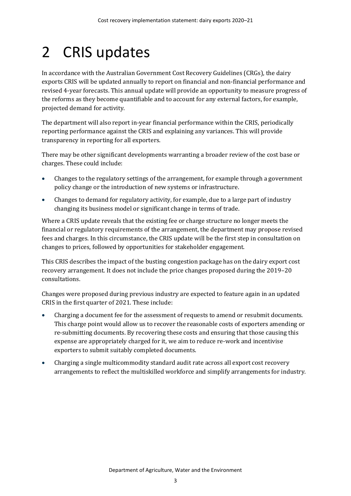# <span id="page-8-0"></span>2 CRIS updates

In accordance with the Australian Government Cost Recovery Guidelines (CRGs), the dairy exports CRIS will be updated annually to report on financial and non-financial performance and revised 4-year forecasts. This annual update will provide an opportunity to measure progress of the reforms as they become quantifiable and to account for any external factors, for example, projected demand for activity.

The department will also report in-year financial performance within the CRIS, periodically reporting performance against the CRIS and explaining any variances. This will provide transparency in reporting for all exporters.

There may be other significant developments warranting a broader review of the cost base or charges. These could include:

- Changes to the regulatory settings of the arrangement, for example through a government policy change or the introduction of new systems or infrastructure.
- Changes to demand for regulatory activity, for example, due to a large part of industry changing its business model or significant change in terms of trade.

Where a CRIS update reveals that the existing fee or charge structure no longer meets the financial or regulatory requirements of the arrangement, the department may propose revised fees and charges. In this circumstance, the CRIS update will be the first step in consultation on changes to prices, followed by opportunities for stakeholder engagement.

This CRIS describes the impact of the busting congestion package has on the dairy export cost recovery arrangement. It does not include the price changes proposed during the 2019–20 consultations.

Changes were proposed during previous industry are expected to feature again in an updated CRIS in the first quarter of 2021. These include:

- Charging a document fee for the assessment of requests to amend or resubmit documents. This charge point would allow us to recover the reasonable costs of exporters amending or re-submitting documents. By recovering these costs and ensuring that those causing this expense are appropriately charged for it, we aim to reduce re-work and incentivise exporters to submit suitably completed documents.
- Charging a single multicommodity standard audit rate across all export cost recovery arrangements to reflect the multiskilled workforce and simplify arrangements for industry.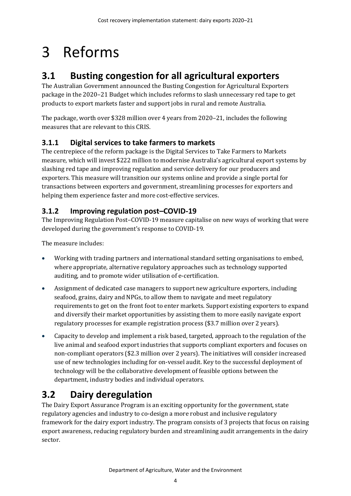# <span id="page-9-0"></span>3 Reforms

# <span id="page-9-1"></span>**3.1 Busting congestion for all agricultural exporters**

The Australian Government announced the Busting Congestion for Agricultural Exporters package in the 2020–21 Budget which includes reforms to slash unnecessary red tape to get products to export markets faster and support jobs in rural and remote Australia.

The package, worth over \$328 million over 4 years from 2020–21, includes the following measures that are relevant to this CRIS.

### **3.1.1 Digital services to take farmers to markets**

The centrepiece of the reform package is the Digital Services to Take Farmers to Markets measure, which will invest \$222 million to modernise Australia's agricultural export systems by slashing red tape and improving regulation and service delivery for our producers and exporters. This measure will transition our systems online and provide a single portal for transactions between exporters and government, streamlining processes for exporters and helping them experience faster and more cost-effective services.

### **3.1.2 Improving regulation post–COVID-19**

The Improving Regulation Post–COVID-19 measure capitalise on new ways of working that were developed during the government's response to COVID-19.

The measure includes:

- Working with trading partners and international standard setting organisations to embed, where appropriate, alternative regulatory approaches such as technology supported auditing, and to promote wider utilisation of e-certification.
- Assignment of dedicated case managers to support new agriculture exporters, including seafood, grains, dairy and NPGs, to allow them to navigate and meet regulatory requirements to get on the front foot to enter markets. Support existing exporters to expand and diversify their market opportunities by assisting them to more easily navigate export regulatory processes for example registration process (\$3.7 million over 2 years).
- Capacity to develop and implement a risk based, targeted, approach to the regulation of the live animal and seafood export industries that supports compliant exporters and focuses on non-compliant operators (\$2.3 million over 2 years). The initiatives will consider increased use of new technologies including for on-vessel audit. Key to the successful deployment of technology will be the collaborative development of feasible options between the department, industry bodies and individual operators.

# <span id="page-9-2"></span>**3.2 Dairy deregulation**

The Dairy Export Assurance Program is an exciting opportunity for the government, state regulatory agencies and industry to co-design a more robust and inclusive regulatory framework for the dairy export industry. The program consists of 3 projects that focus on raising export awareness, reducing regulatory burden and streamlining audit arrangements in the dairy sector.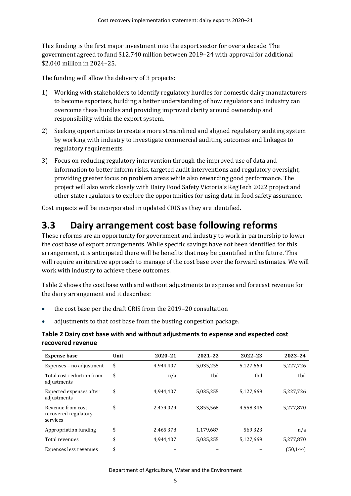This funding is the first major investment into the export sector for over a decade. The government agreed to fund \$12.740 million between 2019–24 with approval for additional \$2.040 million in 2024–25.

The funding will allow the delivery of 3 projects:

- 1) Working with stakeholders to identify regulatory hurdles for domestic dairy manufacturers to become exporters, building a better understanding of how regulators and industry can overcome these hurdles and providing improved clarity around ownership and responsibility within the export system.
- 2) Seeking opportunities to create a more streamlined and aligned regulatory auditing system by working with industry to investigate commercial auditing outcomes and linkages to regulatory requirements.
- 3) Focus on reducing regulatory intervention through the improved use of data and information to better inform risks, targeted audit interventions and regulatory oversight, providing greater focus on problem areas while also rewarding good performance. The project will also work closely with Dairy Food Safety Victoria's RegTech 2022 project and other state regulators to explore the opportunities for using data in food safety assurance.

Cost impacts will be incorporated in updated CRIS as they are identified.

### <span id="page-10-0"></span>**3.3 Dairy arrangement cost base following reforms**

These reforms are an opportunity for government and industry to work in partnership to lower the cost base of export arrangements. While specific savings have not been identified for this arrangement, it is anticipated there will be benefits that may be quantified in the future. This will require an iterative approach to manage of the cost base over the forward estimates. We will work with industry to achieve these outcomes.

[Table 2](#page-10-1) shows the cost base with and without adjustments to expense and forecast revenue for the dairy arrangement and it describes:

- the cost base per the draft CRIS from the 2019–20 consultation
- adjustments to that cost base from the busting congestion package.

#### <span id="page-10-1"></span>**Table 2 Dairy cost base with and without adjustments to expense and expected cost recovered revenue**

| <b>Expense base</b>                                   | Unit | 2020-21   | 2021-22   | 2022-23   | 2023-24   |
|-------------------------------------------------------|------|-----------|-----------|-----------|-----------|
| Expenses - no adjustment                              | \$   | 4,944,407 | 5,035,255 | 5,127,669 | 5,227,726 |
| Total cost reduction from<br>adjustments              | \$   | n/a       | tbd       | tbd       | tbd       |
| Expected expenses after<br>adjustments                | \$   | 4,944,407 | 5,035,255 | 5,127,669 | 5,227,726 |
| Revenue from cost<br>recovered regulatory<br>services | \$   | 2,479,029 | 3,855,568 | 4,558,346 | 5,277,870 |
| Appropriation funding                                 | \$   | 2,465,378 | 1,179,687 | 569,323   | n/a       |
| Total revenues                                        | \$   | 4,944,407 | 5,035,255 | 5,127,669 | 5,277,870 |
| Expenses less revenues                                | \$   |           |           |           | (50, 144) |

Department of Agriculture, Water and the Environment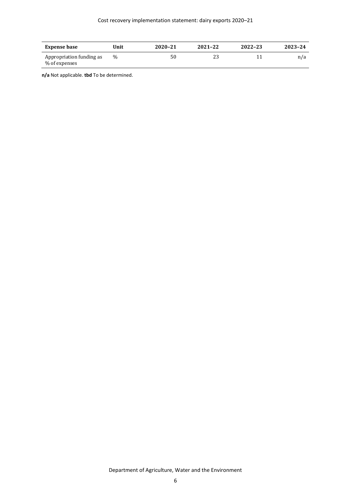| <b>Expense base</b>                       | Unit | 2020-21 | 2021-22 | 2022-23 | 2023-24 |
|-------------------------------------------|------|---------|---------|---------|---------|
| Appropriation funding as<br>% of expenses | $\%$ | 50      | 23      |         | n/a     |

**n/a** Not applicable. **tbd** To be determined.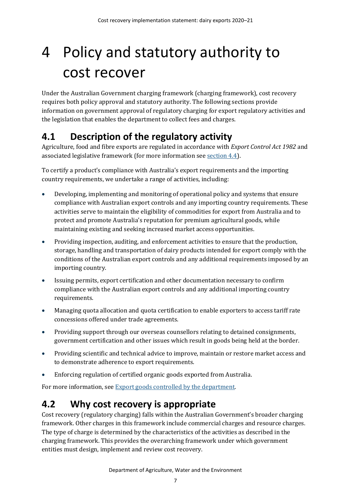# <span id="page-12-0"></span>4 Policy and statutory authority to cost recover

Under the Australian Government charging framework (charging framework), cost recovery requires both policy approval and statutory authority. The following sections provide information on government approval of regulatory charging for export regulatory activities and the legislation that enables the department to collect fees and charges.

## <span id="page-12-1"></span>**4.1 Description of the regulatory activity**

Agriculture, food and fibre exports are regulated in accordance with *Export Control Act 1982* and associated legislative framework (for more information see [section 4.4\)](#page-13-1).

To certify a product's compliance with Australia's export requirements and the importing country requirements, we undertake a range of activities, including:

- Developing, implementing and monitoring of operational policy and systems that ensure compliance with Australian export controls and any importing country requirements. These activities serve to maintain the eligibility of commodities for export from Australia and to protect and promote Australia's reputation for premium agricultural goods, while maintaining existing and seeking increased market access opportunities.
- Providing inspection, auditing, and enforcement activities to ensure that the production, storage, handling and transportation of dairy products intended for export comply with the conditions of the Australian export controls and any additional requirements imposed by an importing country.
- Issuing permits, export certification and other documentation necessary to confirm compliance with the Australian export controls and any additional importing country requirements.
- Managing quota allocation and quota certification to enable exporters to access tariff rate concessions offered under trade agreements.
- Providing support through our overseas counsellors relating to detained consignments, government certification and other issues which result in goods being held at the border.
- Providing scientific and technical advice to improve, maintain or restore market access and to demonstrate adherence to export requirements.
- Enforcing regulation of certified organic goods exported from Australia.

For more information, se[e Export goods controlled by the department.](https://www.agriculture.gov.au/export/controlled-goods)

## <span id="page-12-2"></span>**4.2 Why cost recovery is appropriate**

Cost recovery (regulatory charging) falls within the Australian Government's broader charging framework. Other charges in this framework include commercial charges and resource charges. The type of charge is determined by the characteristics of the activities as described in the charging framework. This provides the overarching framework under which government entities must design, implement and review cost recovery.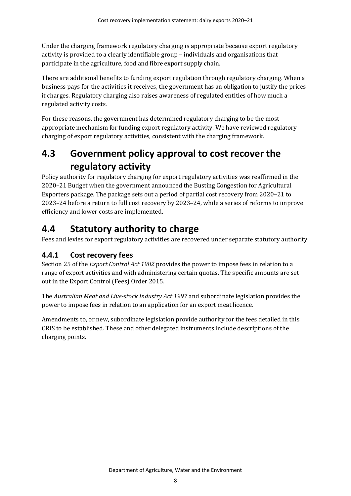Under the charging framework regulatory charging is appropriate because export regulatory activity is provided to a clearly identifiable group – individuals and organisations that participate in the agriculture, food and fibre export supply chain.

There are additional benefits to funding export regulation through regulatory charging. When a business pays for the activities it receives, the government has an obligation to justify the prices it charges. Regulatory charging also raises awareness of regulated entities of how much a regulated activity costs.

For these reasons, the government has determined regulatory charging to be the most appropriate mechanism for funding export regulatory activity. We have reviewed regulatory charging of export regulatory activities, consistent with the charging framework.

# <span id="page-13-0"></span>**4.3 Government policy approval to cost recover the regulatory activity**

Policy authority for regulatory charging for export regulatory activities was reaffirmed in the 2020–21 Budget when the government announced the Busting Congestion for Agricultural Exporters package. The package sets out a period of partial cost recovery from 2020–21 to 2023–24 before a return to full cost recovery by 2023–24, while a series of reforms to improve efficiency and lower costs are implemented.

## <span id="page-13-1"></span>**4.4 Statutory authority to charge**

Fees and levies for export regulatory activities are recovered under separate statutory authority.

### **4.4.1 Cost recovery fees**

Section 25 of the *Export Control Act 1982* provides the power to impose fees in relation to a range of export activities and with administering certain quotas. The specific amounts are set out in the Export Control (Fees) Order 2015.

The *Australian Meat and Live-stock Industry Act 1997* and subordinate legislation provides the power to impose fees in relation to an application for an export meat licence.

Amendments to, or new, subordinate legislation provide authority for the fees detailed in this CRIS to be established. These and other delegated instruments include descriptions of the charging points.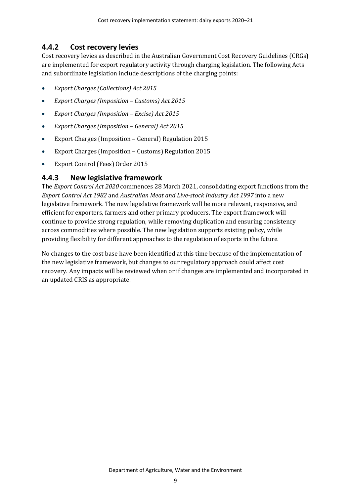#### **4.4.2 Cost recovery levies**

Cost recovery levies as described in the Australian Government Cost Recovery Guidelines (CRGs) are implemented for export regulatory activity through charging legislation. The following Acts and subordinate legislation include descriptions of the charging points:

- *Export Charges (Collections) Act 2015*
- *Export Charges (Imposition Customs) Act 2015*
- *Export Charges (Imposition Excise) Act 2015*
- *Export Charges (Imposition General) Act 2015*
- Export Charges (Imposition General) Regulation 2015
- Export Charges (Imposition Customs) Regulation 2015
- Export Control (Fees) Order 2015

#### **4.4.3 New legislative framework**

The *Export Control Act 2020* commences 28 March 2021, consolidating export functions from the *Export Control Act 1982* and *Australian Meat and Live-stock Industry Act 1997* into a new legislative framework. The new legislative framework will be more relevant, responsive, and efficient for exporters, farmers and other primary producers. The export framework will continue to provide strong regulation, while removing duplication and ensuring consistency across commodities where possible. The new legislation supports existing policy, while providing flexibility for different approaches to the regulation of exports in the future.

No changes to the cost base have been identified at this time because of the implementation of the new legislative framework, but changes to our regulatory approach could affect cost recovery. Any impacts will be reviewed when or if changes are implemented and incorporated in an updated CRIS as appropriate.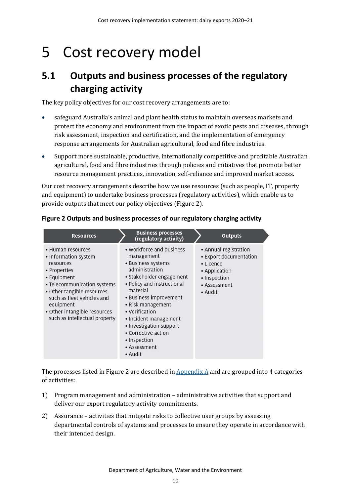# <span id="page-15-0"></span>5 Cost recovery model

## <span id="page-15-1"></span>**5.1 Outputs and business processes of the regulatory charging activity**

The key policy objectives for our cost recovery arrangements are to:

- safeguard Australia's animal and plant health status to maintain overseas markets and protect the economy and environment from the impact of exotic pests and diseases, through risk assessment, inspection and certification, and the implementation of emergency response arrangements for Australian agricultural, food and fibre industries.
- Support more sustainable, productive, internationally competitive and profitable Australian agricultural, food and fibre industries through policies and initiatives that promote better resource management practices, innovation, self-reliance and improved market access.

Our cost recovery arrangements describe how we use resources (such as people, IT, property and equipment) to undertake business processes (regulatory activities), which enable us to provide outputs that meet our policy objectives [\(Figure 2\)](#page-15-2).

| <b>Resources</b>                                                                                                                                                                                                                                               | <b>Business processes</b><br>(regulatory activity)                                                                                                                                                                                                                                                                                          | <b>Outputs</b>                                                                                                                 |
|----------------------------------------------------------------------------------------------------------------------------------------------------------------------------------------------------------------------------------------------------------------|---------------------------------------------------------------------------------------------------------------------------------------------------------------------------------------------------------------------------------------------------------------------------------------------------------------------------------------------|--------------------------------------------------------------------------------------------------------------------------------|
| • Human resources<br>• Information system<br>resources<br>• Properties<br>• Equipment<br>• Telecommunication systems<br>• Other tangible resources<br>such as fleet vehicles and<br>equipment<br>• Other intangible resources<br>such as intellectual property | • Workforce and business<br>management<br>• Business systems<br>administration<br>• Stakeholder engagement<br>• Policy and instructional<br>material<br>• Business improvement<br>• Risk management<br>• Verification<br>• Incident management<br>• Investigation support<br>• Corrective action<br>• Inspection<br>• Assessment<br>• Audit | • Annual registration<br>• Export documentation<br>$\cdot$ Licence<br>• Application<br>• Inspection<br>• Assessment<br>• Audit |

#### <span id="page-15-2"></span>**Figure 2 Outputs and business processes of our regulatory charging activity**

The processes listed in [Figure 2](#page-15-2) are described in  $\Delta$  Appendix  $\Delta$  and are grouped into 4 categories of activities:

- 1) Program management and administration administrative activities that support and deliver our export regulatory activity commitments.
- 2) Assurance activities that mitigate risks to collective user groups by assessing departmental controls of systems and processes to ensure they operate in accordance with their intended design.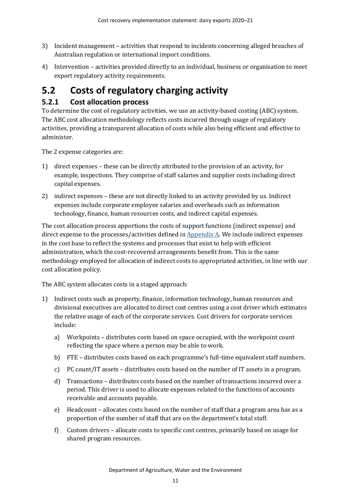- 3) Incident management activities that respond to incidents concerning alleged breaches of Australian regulation or international import conditions.
- 4) Intervention activities provided directly to an individual, business or organisation to meet export regulatory activity requirements.

# <span id="page-16-0"></span>**5.2 Costs of regulatory charging activity**

### **5.2.1 Cost allocation process**

To determine the cost of regulatory activities, we use an activity-based costing (ABC) system. The ABC cost allocation methodology reflects costs incurred through usage of regulatory activities, providing a transparent allocation of costs while also being efficient and effective to administer.

The 2 expense categories are:

- 1) direct expenses these can be directly attributed to the provision of an activity, for example, inspections. They comprise of staff salaries and supplier costs including direct capital expenses.
- 2) indirect expenses these are not directly linked to an activity provided by us. Indirect expenses include corporate employee salaries and overheads such as information technology, finance, human resources costs, and indirect capital expenses.

The cost allocation process apportions the costs of support functions (indirect expense) and direct expense to the processes/activities defined in  $Appendix A$ . We include indirect expenses in the cost base to reflect the systems and processes that exist to help with efficient administration, which the cost-recovered arrangements benefit from. This is the same methodology employed for allocation of indirect costs to appropriated activities, in line with our cost allocation policy.

The ABC system allocates costs in a staged approach:

- 1) Indirect costs such as property, finance, information technology, human resources and divisional executives are allocated to direct cost centres using a cost driver which estimates the relative usage of each of the corporate services. Cost drivers for corporate services include:
	- a) Workpoints distributes costs based on space occupied, with the workpoint count reflecting the space where a person may be able to work.
	- b) FTE distributes costs based on each programme's full-time equivalent staff numbers.
	- c) PC count/IT assets distributes costs based on the number of IT assets in a program.
	- d) Transactions distributes costs based on the number of transactions incurred over a period. This driver is used to allocate expenses related to the functions of accounts receivable and accounts payable.
	- e) Headcount allocates costs based on the number of staff that a program area has as a proportion of the number of staff that are on the department's total staff.
	- f) Custom drivers allocate costs to specific cost centres, primarily based on usage for shared program resources.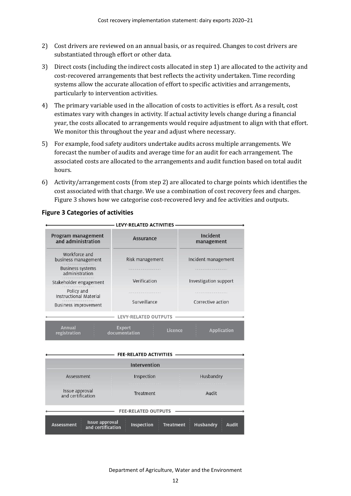- 2) Cost drivers are reviewed on an annual basis, or as required. Changes to cost drivers are substantiated through effort or other data.
- 3) Direct costs (including the indirect costs allocated in step 1) are allocated to the activity and cost-recovered arrangements that best reflects the activity undertaken. Time recording systems allow the accurate allocation of effort to specific activities and arrangements, particularly to intervention activities.
- 4) The primary variable used in the allocation of costs to activities is effort. As a result, cost estimates vary with changes in activity. If actual activity levels change during a financial year, the costs allocated to arrangements would require adjustment to align with that effort. We monitor this throughout the year and adjust where necessary.
- 5) For example, food safety auditors undertake audits across multiple arrangements. We forecast the number of audits and average time for an audit for each arrangement. The associated costs are allocated to the arrangements and audit function based on total audit hours.
- 6) Activity/arrangement costs (from step 2) are allocated to charge points which identifies the cost associated with that charge. We use a combination of cost recovery fees and charges. [Figure 3](#page-17-0) shows how we categorise cost-recovered levy and fee activities and outputs.

| Program management<br>and administration    | <b>Assurance</b>                          | Incident<br>management |  |
|---------------------------------------------|-------------------------------------------|------------------------|--|
| Workforce and<br>business management        | Risk management                           | Incident management    |  |
| <b>Business systems</b><br>administration   |                                           |                        |  |
| Stakeholder engagement                      | Verification                              | Investigation support  |  |
| Policy and<br><b>Instructional Material</b> |                                           |                        |  |
| <b>Business improvement</b>                 | Surveillance                              | Corrective action      |  |
|                                             | <b>LEVY-RELATED OUTPUTS</b>               |                        |  |
| <b>Annual</b><br>registration               | <b>Export</b><br>Licence<br>documentation | <b>Application</b>     |  |
|                                             |                                           |                        |  |
|                                             | <b>FEE-RELATED ACTIVITIES</b>             |                        |  |

#### <span id="page-17-0"></span>**Figure 3 Categories of activities**

|                                                                 | <b>FEE-RELATED ACTIVITIES</b> |                                                      |
|-----------------------------------------------------------------|-------------------------------|------------------------------------------------------|
|                                                                 | Intervention                  |                                                      |
| Assessment                                                      | Inspection                    | Husbandry                                            |
| Issue approval<br>and certification                             | Treatment                     | Audit                                                |
|                                                                 | <b>FEE-RELATED OUTPUTS</b>    |                                                      |
| <b>Issue approval</b><br><b>Assessment</b><br>and certification | <b>Inspection</b>             | <b>Husbandry</b><br><b>Treatment</b><br><b>Audit</b> |

Department of Agriculture, Water and the Environment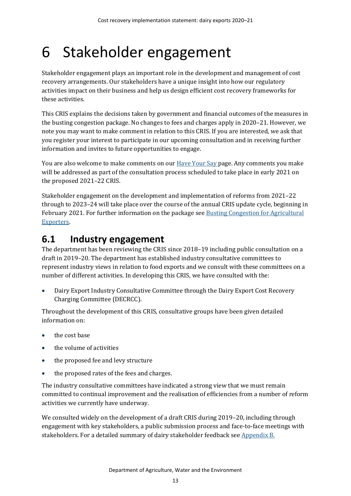# <span id="page-18-0"></span>6 Stakeholder engagement

Stakeholder engagement plays an important role in the development and management of cost recovery arrangements. Our stakeholders have a unique insight into how our regulatory activities impact on their business and help us design efficient cost recovery frameworks for these activities.

This CRIS explains the decisions taken by government and financial outcomes of the measures in the busting congestion package. No changes to fees and charges apply in 2020–21. However, we note you may want to make comment in relation to this CRIS. If you are interested, we ask that you register your interest to participate in our upcoming consultation and in receiving further information and invites to future opportunities to engage.

You are also welcome to make comments on our **Have Your Say page. Any comments you make** will be addressed as part of the consultation process scheduled to take place in early 2021 on the proposed 2021–22 CRIS.

Stakeholder engagement on the development and implementation of reforms from 2021–22 through to 2023–24 will take place over the course of the annual CRIS update cycle, beginning in February 2021. For further information on the package se[e Busting Congestion for Agricultural](https://minister.awe.gov.au/littleproud/media-releases/budget-2020-21-backing-farmers-supporting-disaster-recovery-protecting-australians)  [Exporters.](https://minister.awe.gov.au/littleproud/media-releases/budget-2020-21-backing-farmers-supporting-disaster-recovery-protecting-australians)

### <span id="page-18-1"></span>**6.1 Industry engagement**

The department has been reviewing the CRIS since 2018–19 including public consultation on a draft in 2019–20. The department has established industry consultative committees to represent industry views in relation to food exports and we consult with these committees on a number of different activities. In developing this CRIS, we have consulted with the:

• Dairy Export Industry Consultative Committee through the Dairy Export Cost Recovery Charging Committee (DECRCC).

Throughout the development of this CRIS, consultative groups have been given detailed information on:

- the cost base
- the volume of activities
- the proposed fee and levy structure
- the proposed rates of the fees and charges.

The industry consultative committees have indicated a strong view that we must remain committed to continual improvement and the realisation of efficiencies from a number of reform activities we currently have underway.

We consulted widely on the development of a draft CRIS during 2019–20, including through engagement with key stakeholders, a public submission process and face-to-face meetings with stakeholders. For a detailed summary of dairy stakeholder feedback se[e Appendix B.](#page-32-0)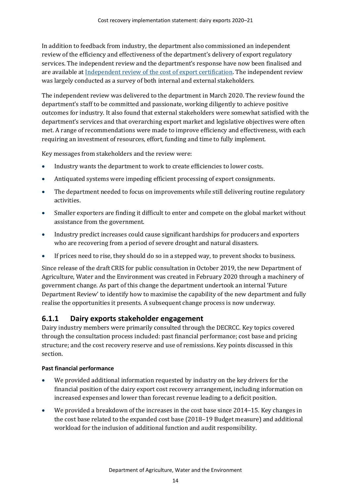In addition to feedback from industry, the department also commissioned an independent review of the efficiency and effectiveness of the department's delivery of export regulatory services. The independent review and the department's response have now been finalised and are available a[t Independent review of the cost of export certification.](https://www.agriculture.gov.au/fees/cost-recovery/independent-review-cost-export-certification) The independent review was largely conducted as a survey of both internal and external stakeholders.

The independent review was delivered to the department in March 2020. The review found the department's staff to be committed and passionate, working diligently to achieve positive outcomes for industry. It also found that external stakeholders were somewhat satisfied with the department's services and that overarching export market and legislative objectives were often met. A range of recommendations were made to improve efficiency and effectiveness, with each requiring an investment of resources, effort, funding and time to fully implement.

Key messages from stakeholders and the review were:

- Industry wants the department to work to create efficiencies to lower costs.
- Antiquated systems were impeding efficient processing of export consignments.
- The department needed to focus on improvements while still delivering routine regulatory activities.
- Smaller exporters are finding it difficult to enter and compete on the global market without assistance from the government.
- Industry predict increases could cause significant hardships for producers and exporters who are recovering from a period of severe drought and natural disasters.
- If prices need to rise, they should do so in a stepped way, to prevent shocks to business.

Since release of the draft CRIS for public consultation in October 2019, the new Department of Agriculture, Water and the Environment was created in February 2020 through a machinery of government change. As part of this change the department undertook an internal 'Future Department Review' to identify how to maximise the capability of the new department and fully realise the opportunities it presents. A subsequent change process is now underway.

#### **6.1.1 Dairy exports stakeholder engagement**

Dairy industry members were primarily consulted through the DECRCC. Key topics covered through the consultation process included: past financial performance; cost base and pricing structure; and the cost recovery reserve and use of remissions. Key points discussed in this section.

#### **Past financial performance**

- We provided additional information requested by industry on the key drivers for the financial position of the dairy export cost recovery arrangement, including information on increased expenses and lower than forecast revenue leading to a deficit position.
- We provided a breakdown of the increases in the cost base since 2014–15. Key changes in the cost base related to the expanded cost base (2018–19 Budget measure) and additional workload for the inclusion of additional function and audit responsibility.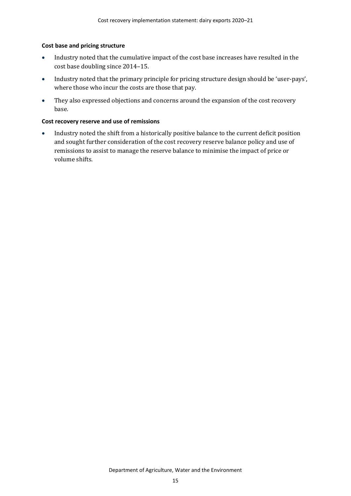#### **Cost base and pricing structure**

- Industry noted that the cumulative impact of the cost base increases have resulted in the cost base doubling since 2014–15.
- Industry noted that the primary principle for pricing structure design should be 'user-pays', where those who incur the costs are those that pay.
- They also expressed objections and concerns around the expansion of the cost recovery base.

#### **Cost recovery reserve and use of remissions**

• Industry noted the shift from a historically positive balance to the current deficit position and sought further consideration of the cost recovery reserve balance policy and use of remissions to assist to manage the reserve balance to minimise the impact of price or volume shifts.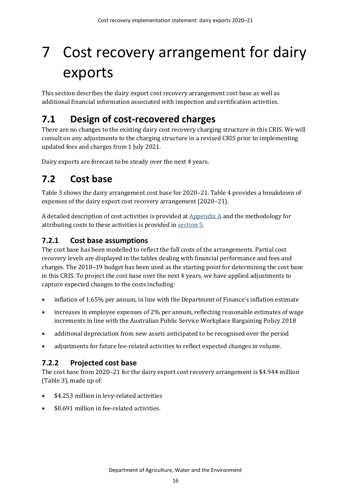# <span id="page-21-0"></span>7 Cost recovery arrangement for dairy exports

This section describes the dairy export cost recovery arrangement cost base as well as additional financial information associated with inspection and certification activities.

## <span id="page-21-1"></span>**7.1 Design of cost-recovered charges**

There are no changes to the existing dairy cost recovery charging structure in this CRIS. We will consult on any adjustments to the charging structure in a revised CRIS prior to implementing updated fees and charges from 1 July 2021.

Dairy exports are forecast to be steady over the next 4 years.

# <span id="page-21-2"></span>**7.2 Cost base**

[Table 3](#page-22-0) shows the dairy arrangement cost base for 2020–21. [Table 4](#page-22-1) provides a breakdown of expenses of the dairy export cost recovery arrangement (2020–21).

A detailed description of cost activities is provided a[t Appendix A](#page-29-0) and the methodology for attributing costs to these activities is provided in [section 5](#page-15-0).

### **7.2.1 Cost base assumptions**

The cost base has been modelled to reflect the full costs of the arrangements. Partial cost recovery levels are displayed in the tables dealing with financial performance and fees and charges. The 2018–19 budget has been used as the starting point for determining the cost base in this CRIS. To project the cost base over the next 4 years, we have applied adjustments to capture expected changes to the costs including:

- inflation of 1.65% per annum, in line with the Department of Finance's inflation estimate
- increases in employee expenses of 2% per annum, reflecting reasonable estimates of wage increments in line with the Australian Public Service Workplace Bargaining Policy 2018
- additional depreciation from new assets anticipated to be recognised over the period
- adjustments for future fee-related activities to reflect expected changes in volume.

### **7.2.2 Projected cost base**

The cost base from 2020–21 for the dairy export cost recovery arrangement is \$4.944 million [\(Table 3\)](#page-22-0), made up of:

- \$4.253 million in levy-related activities
- \$0.691 million in fee-related activities.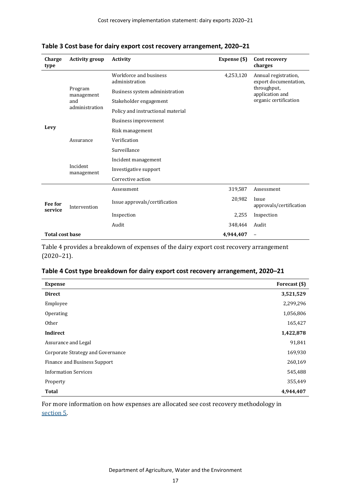| Charge<br>type         | <b>Activity group</b>  | <b>Activity</b>                          | Expense (\$) | Cost recovery<br>charges                      |
|------------------------|------------------------|------------------------------------------|--------------|-----------------------------------------------|
|                        |                        | Workforce and business<br>administration | 4,253,120    | Annual registration,<br>export documentation. |
|                        | Program<br>management  | Business system administration           |              | throughput,<br>application and                |
|                        | and                    | Stakeholder engagement                   |              | organic certification                         |
|                        | administration         | Policy and instructional material        |              |                                               |
|                        |                        | <b>Business improvement</b>              |              |                                               |
| Levy                   | Assurance              | Risk management                          |              |                                               |
|                        |                        | Verification                             |              |                                               |
|                        |                        | Surveillance                             |              |                                               |
|                        |                        | Incident management                      |              |                                               |
|                        | Incident<br>management | Investigative support                    |              |                                               |
|                        |                        | Corrective action                        |              |                                               |
|                        |                        | Assessment                               | 319,587      | Assessment                                    |
| Fee for<br>service     | Intervention           | Issue approvals/certification            | 20,982       | Issue<br>approvals/certification              |
|                        |                        | Inspection                               | 2,255        | Inspection                                    |
|                        |                        | Audit                                    | 348,464      | Audit                                         |
| <b>Total cost base</b> |                        |                                          | 4.944.407    | $\overline{\phantom{a}}$                      |

<span id="page-22-0"></span>**Table 3 Cost base for dairy export cost recovery arrangement, 2020–21**

[Table 4](#page-22-1) provides a breakdown of expenses of the dairy export cost recovery arrangement (2020–21).

#### <span id="page-22-1"></span>**Table 4 Cost type breakdown for dairy export cost recovery arrangement, 2020–21**

| <b>Expense</b>                    | Forecast (\$) |
|-----------------------------------|---------------|
| <b>Direct</b>                     | 3,521,529     |
| Employee                          | 2,299,296     |
| Operating                         | 1,056,806     |
| Other                             | 165,427       |
| Indirect                          | 1,422,878     |
| Assurance and Legal               | 91,841        |
| Corporate Strategy and Governance | 169,930       |
| Finance and Business Support      | 260,169       |
| <b>Information Services</b>       | 545,488       |
| Property                          | 355,449       |
| <b>Total</b>                      | 4,944,407     |

For more information on how expenses are allocated see cost recovery methodology in [section](#page-15-0) 5.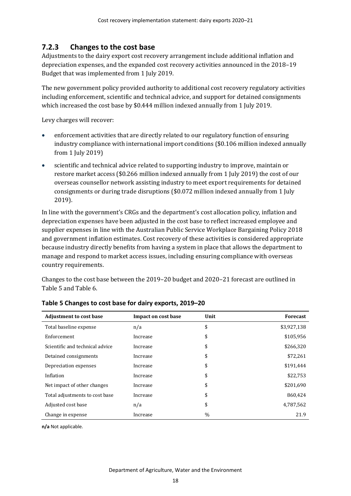### **7.2.3 Changes to the cost base**

Adjustments to the dairy export cost recovery arrangement include additional inflation and depreciation expenses, and the expanded cost recovery activities announced in the 2018–19 Budget that was implemented from 1 July 2019.

The new government policy provided authority to additional cost recovery regulatory activities including enforcement, scientific and technical advice, and support for detained consignments which increased the cost base by \$0.444 million indexed annually from 1 July 2019.

Levy charges will recover:

- enforcement activities that are directly related to our regulatory function of ensuring industry compliance with international import conditions (\$0.106 million indexed annually from 1 July 2019)
- scientific and technical advice related to supporting industry to improve, maintain or restore market access (\$0.266 million indexed annually from 1 July 2019) the cost of our overseas counsellor network assisting industry to meet export requirements for detained consignments or during trade disruptions (\$0.072 million indexed annually from 1 July 2019).

In line with the government's CRGs and the department's cost allocation policy, inflation and depreciation expenses have been adjusted in the cost base to reflect increased employee and supplier expenses in line with the Australian Public Service Workplace Bargaining Policy 2018 and government inflation estimates. Cost recovery of these activities is considered appropriate because industry directly benefits from having a system in place that allows the department to manage and respond to market access issues, including ensuring compliance with overseas country requirements.

Changes to the cost base between the 2019–20 budget and 2020–21 forecast are outlined in [Table 5](#page-23-0) and [Table 6.](#page-24-2)

| <b>Adjustment to cost base</b>  | <b>Impact on cost base</b> | Unit          | <b>Forecast</b> |
|---------------------------------|----------------------------|---------------|-----------------|
| Total baseline expense          | n/a                        | \$            | \$3,927,138     |
| Enforcement                     | Increase                   | \$            | \$105,956       |
| Scientific and technical advice | Increase                   | \$            | \$266,320       |
| Detained consignments           | Increase                   | \$            | \$72,261        |
| Depreciation expenses           | Increase                   | \$            | \$191,444       |
| Inflation                       | Increase                   | \$            | \$22,753        |
| Net impact of other changes     | Increase                   | \$            | \$201,690       |
| Total adjustments to cost base  | Increase                   | \$            | 860.424         |
| Adjusted cost base              | n/a                        | \$            | 4,787,562       |
| Change in expense               | Increase                   | $\frac{0}{0}$ | 21.9            |

#### <span id="page-23-0"></span>**Table 5 Changes to cost base for dairy exports, 2019–20**

**n/a** Not applicable.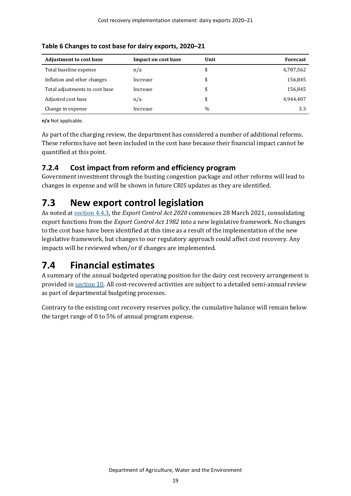| <b>Adjustment to cost base</b> | Impact on cost base | Unit | <b>Forecast</b> |
|--------------------------------|---------------------|------|-----------------|
| Total baseline expense         | n/a                 | \$   | 4,787,562       |
| Inflation and other changes    | Increase            | \$   | 156,845         |
| Total adjustments to cost base | Increase            | \$   | 156,845         |
| Adjusted cost base             | n/a                 | \$   | 4.944.407       |
| Change in expense              | Increase            | $\%$ | 3.3             |

<span id="page-24-2"></span>**Table 6 Changes to cost base for dairy exports, 2020–21**

**n/a** Not applicable.

As part of the charging review, the department has considered a number of additional reforms. These reforms have not been included in the cost base because their financial impact cannot be quantified at this point.

### **7.2.4 Cost impact from reform and efficiency program**

Government investment through the busting congestion package and other reforms will lead to changes in expense and will be shown in future CRIS updates as they are identified.

## <span id="page-24-0"></span>**7.3 New export control legislation**

As noted at section 4.4.3, the *Export Control Act 2020* commences 28 March 2021, consolidating export functions from the *Export Control Act 1982* into a new legislative framework. No changes to the cost base have been identified at this time as a result of the implementation of the new legislative framework, but changes to our regulatory approach could affect cost recovery. Any impacts will be reviewed when/or if changes are implemented.

# <span id="page-24-1"></span>**7.4 Financial estimates**

A summary of the annual budgeted operating position for the dairy cost recovery arrangement is provided in [section 10.](#page-27-0) All cost-recovered activities are subject to a detailed semi-annual review as part of departmental budgeting processes.

Contrary to the existing cost recovery reserves policy, the cumulative balance will remain below the target range of 0 to 5% of annual program expense.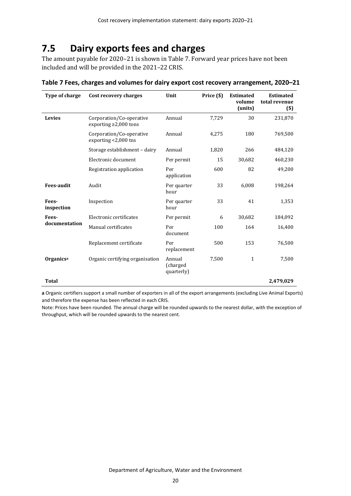## <span id="page-25-0"></span>**7.5 Dairy exports fees and charges**

The amount payable for 2020–21 is shown i[n Table 7.](#page-25-1) Forward year prices have not been included and will be provided in the 2021–22 CRIS.

| Type of charge      | Cost recovery charges                                   | Unit                              | Price (\$) | <b>Estimated</b><br>volume<br>(units) | <b>Estimated</b><br>total revenue<br>$($)$ |
|---------------------|---------------------------------------------------------|-----------------------------------|------------|---------------------------------------|--------------------------------------------|
| <b>Levies</b>       | Corporation/Co-operative<br>exporting $\geq$ 2,000 tons | Annual                            | 7,729      | 30                                    | 231,870                                    |
|                     | Corporation/Co-operative<br>exporting <2,000 tns        | Annual                            | 4,275      | 180                                   | 769,500                                    |
|                     | Storage establishment - dairy                           | Annual                            | 1,820      | 266                                   | 484,120                                    |
|                     | Electronic document                                     | Per permit                        | 15         | 30,682                                | 460,230                                    |
|                     | Registration application                                | Per<br>application                | 600        | 82                                    | 49,200                                     |
| <b>Fees-audit</b>   | Audit                                                   | Per quarter<br>hour               | 33         | 6,008                                 | 198,264                                    |
| Fees-<br>inspection | Inspection                                              | Per quarter<br>hour               | 33         | 41                                    | 1,353                                      |
| Fees-               | Electronic certificates                                 | Per permit                        | 6          | 30,682                                | 184,092                                    |
| documentation       | Manual certificates                                     | Per<br>document                   | 100        | 164                                   | 16,400                                     |
|                     | Replacement certificate                                 | Per<br>replacement                | 500        | 153                                   | 76,500                                     |
| Organicsa           | Organic certifying organisation                         | Annual<br>(charged)<br>quarterly) | 7,500      | $\mathbf{1}$                          | 7,500                                      |
| <b>Total</b>        |                                                         |                                   |            |                                       | 2,479,029                                  |

<span id="page-25-1"></span>**Table 7 Fees, charges and volumes for dairy export cost recovery arrangement, 2020–21**

**a** Organic certifiers support a small number of exporters in all of the export arrangements (excluding Live Animal Exports) and therefore the expense has been reflected in each CRIS.

Note: Prices have been rounded. The annual charge will be rounded upwards to the nearest dollar, with the exception of throughput, which will be rounded upwards to the nearest cent.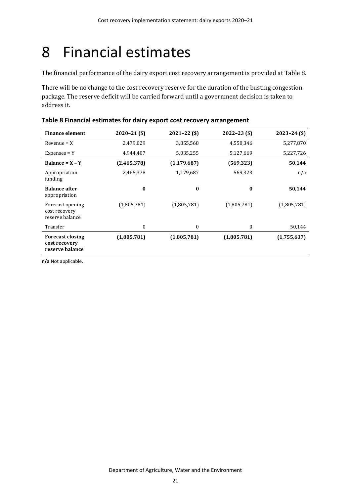# <span id="page-26-0"></span>8 Financial estimates

The financial performance of the dairy export cost recovery arrangement is provided a[t Table 8.](#page-26-1)

There will be no change to the cost recovery reserve for the duration of the busting congestion package. The reserve deficit will be carried forward until a government decision is taken to address it.

| <b>Finance element</b>                                      | $2020 - 21$ (\$) | $2021 - 22($ \$) | $2022 - 23$ (\$) | $2023 - 24$ (\$) |
|-------------------------------------------------------------|------------------|------------------|------------------|------------------|
| $Revenue = X$                                               | 2,479,029        | 3,855,568        | 4,558,346        | 5,277,870        |
| $Expenses = Y$                                              | 4,944,407        | 5,035,255        | 5,127,669        | 5,227,726        |
| Balance = $X - Y$                                           | (2,465,378)      | (1, 179, 687)    | (569, 323)       | 50,144           |
| Appropriation<br>funding                                    | 2,465,378        | 1,179,687        | 569,323          | n/a              |
| <b>Balance after</b><br>appropriation                       | $\bf{0}$         | $\bf{0}$         | $\bf{0}$         | 50,144           |
| Forecast opening<br>cost recovery<br>reserve balance        | (1,805,781)      | (1,805,781)      | (1,805,781)      | (1,805,781)      |
| Transfer                                                    | $\boldsymbol{0}$ | $\mathbf{0}$     | $\theta$         | 50,144           |
| <b>Forecast closing</b><br>cost recovery<br>reserve balance | (1,805,781)      | (1,805,781)      | (1,805,781)      | (1,755,637)      |

<span id="page-26-1"></span>

| Table 8 Financial estimates for dairy export cost recovery arrangement |  |  |
|------------------------------------------------------------------------|--|--|
|------------------------------------------------------------------------|--|--|

**n/a** Not applicable.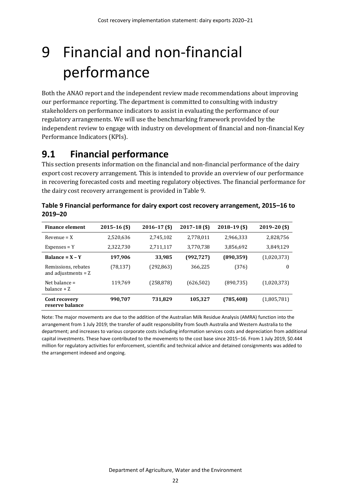# <span id="page-27-0"></span>9 Financial and non-financial performance

Both the ANAO report and the independent review made recommendations about improving our performance reporting. The department is committed to consulting with industry stakeholders on performance indicators to assist in evaluating the performance of our regulatory arrangements. We will use the benchmarking framework provided by the independent review to engage with industry on development of financial and non-financial Key Performance Indicators (KPIs).

## <span id="page-27-1"></span>**9.1 Financial performance**

This section presents information on the financial and non-financial performance of the dairy export cost recovery arrangement. This is intended to provide an overview of our performance in recovering forecasted costs and meeting regulatory objectives. The financial performance for the dairy cost recovery arrangement is provided i[n Table 9.](#page-27-2)

| <b>Finance element</b>                       | $2015 - 16$ (\$) | $2016 - 17$ (\$) | $2017 - 18$ (\$) | $2018 - 19$ (\$) | $2019 - 20$ (\$) |
|----------------------------------------------|------------------|------------------|------------------|------------------|------------------|
| $Revenue = X$                                | 2,520,636        | 2,745,102        | 2,778,011        | 2,966,333        | 2,828,756        |
| $Expenses = Y$                               | 2,322,730        | 2,711,117        | 3,770,738        | 3,856,692        | 3,849,129        |
| Balance = $X - Y$                            | 197,906          | 33,985           | (992, 727)       | (890, 359)       | (1,020,373)      |
| Remissions, rebates<br>and adjustments $= Z$ | (78, 137)        | (292, 863)       | 366,225          | (376)            | $\boldsymbol{0}$ |
| Net balance $=$<br>balance + Z               | 119,769          | (258, 878)       | (626, 502)       | (890, 735)       | (1,020,373)      |
| Cost recovery<br>reserve balance             | 990,707          | 731,829          | 105,327          | (785, 408)       | (1,805,781)      |

<span id="page-27-2"></span>**Table 9 Financial performance for dairy export cost recovery arrangement, 2015–16 to 2019–20**

Note: The major movements are due to the addition of the Australian Milk Residue Analysis (AMRA) function into the arrangement from 1 July 2019; the transfer of audit responsibility from South Australia and Western Australia to the department; and increases to various corporate costs including information services costs and depreciation from additional capital investments. These have contributed to the movements to the cost base since 2015–16. From 1 July 2019, \$0.444 million for regulatory activities for enforcement, scientific and technical advice and detained consignments was added to the arrangement indexed and ongoing.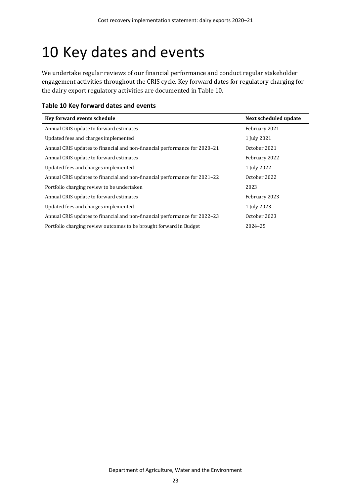# <span id="page-28-0"></span>10 Key dates and events

We undertake regular reviews of our financial performance and conduct regular stakeholder engagement activities throughout the CRIS cycle. Key forward dates for regulatory charging for the dairy export regulatory activities are documented in [Table 10.](#page-28-1)

<span id="page-28-1"></span>

|  | Table 10 Key forward dates and events |  |  |
|--|---------------------------------------|--|--|
|--|---------------------------------------|--|--|

| Key forward events schedule                                                | Next scheduled update |
|----------------------------------------------------------------------------|-----------------------|
| Annual CRIS update to forward estimates                                    | February 2021         |
| Updated fees and charges implemented                                       | 1 July 2021           |
| Annual CRIS updates to financial and non-financial performance for 2020–21 | October 2021          |
| Annual CRIS update to forward estimates                                    | February 2022         |
| Updated fees and charges implemented                                       | 1 July 2022           |
| Annual CRIS updates to financial and non-financial performance for 2021–22 | October 2022          |
| Portfolio charging review to be undertaken                                 | 2023                  |
| Annual CRIS update to forward estimates                                    | February 2023         |
| Updated fees and charges implemented                                       | 1 July 2023           |
| Annual CRIS updates to financial and non-financial performance for 2022–23 | October 2023          |
| Portfolio charging review outcomes to be brought forward in Budget         | 2024-25               |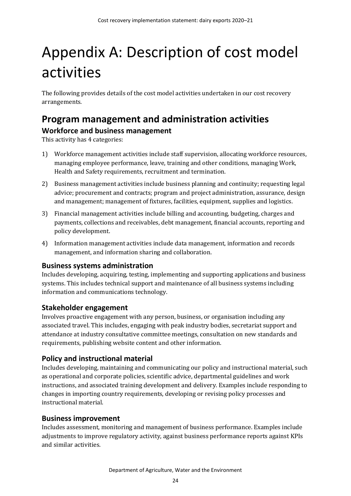# <span id="page-29-0"></span>Appendix A: Description of cost model activities

The following provides details of the cost model activities undertaken in our cost recovery arrangements.

### <span id="page-29-1"></span>**Program management and administration activities Workforce and business management**

This activity has 4 categories:

- 1) Workforce management activities include staff supervision, allocating workforce resources, managing employee performance, leave, training and other conditions, managing Work, Health and Safety requirements, recruitment and termination.
- 2) Business management activities include business planning and continuity; requesting legal advice; procurement and contracts; program and project administration, assurance, design and management; management of fixtures, facilities, equipment, supplies and logistics.
- 3) Financial management activities include billing and accounting, budgeting, charges and payments, collections and receivables, debt management, financial accounts, reporting and policy development.
- 4) Information management activities include data management, information and records management, and information sharing and collaboration.

#### **Business systems administration**

Includes developing, acquiring, testing, implementing and supporting applications and business systems. This includes technical support and maintenance of all business systems including information and communications technology.

### **Stakeholder engagement**

Involves proactive engagement with any person, business, or organisation including any associated travel. This includes, engaging with peak industry bodies, secretariat support and attendance at industry consultative committee meetings, consultation on new standards and requirements, publishing website content and other information.

### **Policy and instructional material**

Includes developing, maintaining and communicating our policy and instructional material, such as operational and corporate policies, scientific advice, departmental guidelines and work instructions, and associated training development and delivery. Examples include responding to changes in importing country requirements, developing or revising policy processes and instructional material.

### **Business improvement**

Includes assessment, monitoring and management of business performance. Examples include adjustments to improve regulatory activity, against business performance reports against KPIs and similar activities.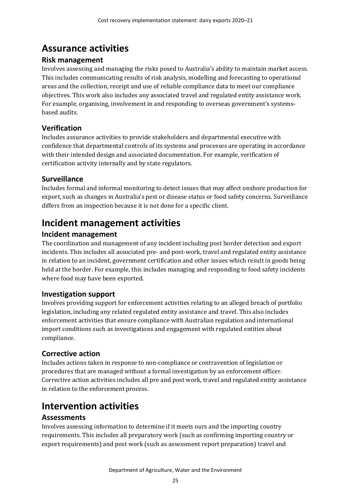## <span id="page-30-0"></span>**Assurance activities**

#### **Risk management**

Involves assessing and managing the risks posed to Australia's ability to maintain market access. This includes communicating results of risk analysis, modelling and forecasting to operational areas and the collection, receipt and use of reliable compliance data to meet our compliance objectives. This work also includes any associated travel and regulated entity assistance work. For example, organising, involvement in and responding to overseas government's systemsbased audits.

### **Verification**

Includes assurance activities to provide stakeholders and departmental executive with confidence that departmental controls of its systems and processes are operating in accordance with their intended design and associated documentation. For example, verification of certification activity internally and by state regulators.

### **Surveillance**

Includes formal and informal monitoring to detect issues that may affect onshore production for export, such as changes in Australia's pest or disease status or food safety concerns. Surveillance differs from an inspection because it is not done for a specific client.

## <span id="page-30-1"></span>**Incident management activities**

### **Incident management**

The coordination and management of any incident including post border detection and export incidents. This includes all associated pre- and post-work, travel and regulated entity assistance in relation to an incident, government certification and other issues which result in goods being held at the border. For example, this includes managing and responding to food safety incidents where food may have been exported.

### **Investigation support**

Involves providing support for enforcement activities relating to an alleged breach of portfolio legislation, including any related regulated entity assistance and travel. This also includes enforcement activities that ensure compliance with Australian regulation and international import conditions such as investigations and engagement with regulated entities about compliance.

### **Corrective action**

Includes actions taken in response to non-compliance or contravention of legislation or procedures that are managed without a formal investigation by an enforcement officer. Corrective action activities includes all pre and post work, travel and regulated entity assistance in relation to the enforcement process.

## <span id="page-30-2"></span>**Intervention activities**

### **Assessments**

Involves assessing information to determine if it meets ours and the importing country requirements. This includes all preparatory work (such as confirming importing country or export requirements) and post work (such as assessment report preparation) travel and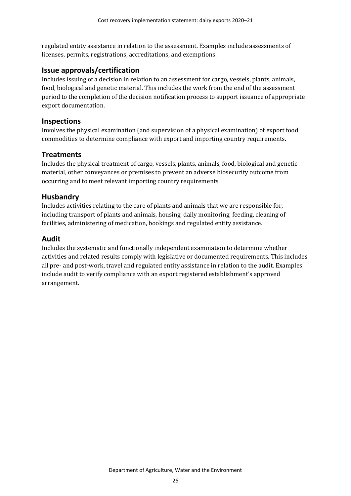regulated entity assistance in relation to the assessment. Examples include assessments of licenses, permits, registrations, accreditations, and exemptions.

#### **Issue approvals/certification**

Includes issuing of a decision in relation to an assessment for cargo, vessels, plants, animals, food, biological and genetic material. This includes the work from the end of the assessment period to the completion of the decision notification process to support issuance of appropriate export documentation.

#### **Inspections**

Involves the physical examination (and supervision of a physical examination) of export food commodities to determine compliance with export and importing country requirements.

#### **Treatments**

Includes the physical treatment of cargo, vessels, plants, animals, food, biological and genetic material, other conveyances or premises to prevent an adverse biosecurity outcome from occurring and to meet relevant importing country requirements.

#### **Husbandry**

Includes activities relating to the care of plants and animals that we are responsible for, including transport of plants and animals, housing, daily monitoring, feeding, cleaning of facilities, administering of medication, bookings and regulated entity assistance.

#### **Audit**

Includes the systematic and functionally independent examination to determine whether activities and related results comply with legislative or documented requirements. This includes all pre- and post-work, travel and regulated entity assistance in relation to the audit. Examples include audit to verify compliance with an export registered establishment's approved arrangement.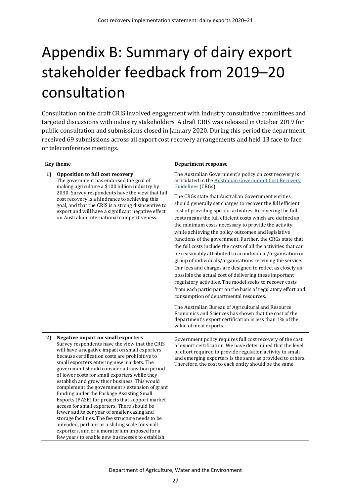# <span id="page-32-0"></span>Appendix B: Summary of dairy export stakeholder feedback from 2019–20 consultation

Consultation on the draft CRIS involved engagement with industry consultative committees and targeted discussions with industry stakeholders. A draft CRIS was released in October 2019 for public consultation and submissions closed in January 2020. During this period the department received 69 submissions across all export cost recovery arrangements and held 13 face to face or teleconference meetings.

|    | <b>Key theme</b>                                                                                                                                                                                                                                                                                                                                                                                                                                                                                                                                                                                                                                                                                                                                                                                                                                          | <b>Department response</b>                                                                                                                                                                                                                                                                                                                                                                                                                                                                                                                                                                                                                                                                                                                                                                                                                                                                                      |
|----|-----------------------------------------------------------------------------------------------------------------------------------------------------------------------------------------------------------------------------------------------------------------------------------------------------------------------------------------------------------------------------------------------------------------------------------------------------------------------------------------------------------------------------------------------------------------------------------------------------------------------------------------------------------------------------------------------------------------------------------------------------------------------------------------------------------------------------------------------------------|-----------------------------------------------------------------------------------------------------------------------------------------------------------------------------------------------------------------------------------------------------------------------------------------------------------------------------------------------------------------------------------------------------------------------------------------------------------------------------------------------------------------------------------------------------------------------------------------------------------------------------------------------------------------------------------------------------------------------------------------------------------------------------------------------------------------------------------------------------------------------------------------------------------------|
| 1) | Opposition to full cost recovery<br>The government has endorsed the goal of<br>making agriculture a \$100 billion industry by                                                                                                                                                                                                                                                                                                                                                                                                                                                                                                                                                                                                                                                                                                                             | The Australian Government's policy on cost recovery is<br>articulated in the Australian Government Cost Recovery<br>Guidelines (CRGs).                                                                                                                                                                                                                                                                                                                                                                                                                                                                                                                                                                                                                                                                                                                                                                          |
|    | 2030. Survey respondents have the view that full<br>cost recovery is a hindrance to achieving this<br>goal, and that the CRIS is a strong disincentive to<br>export and will have a significant negative effect<br>on Australian international competitiveness.                                                                                                                                                                                                                                                                                                                                                                                                                                                                                                                                                                                           | The CRGs state that Australian Government entities<br>should generally set charges to recover the full efficient<br>cost of providing specific activities. Recovering the full<br>costs means the full efficient costs which are defined as<br>the minimum costs necessary to provide the activity<br>while achieving the policy outcomes and legislative<br>functions of the government. Further, the CRGs state that<br>the full costs include the costs of all the activities that can<br>be reasonably attributed to an individual/organisation or<br>group of individuals/organisations receiving the service.<br>Our fees and charges are designed to reflect as closely as<br>possible the actual cost of delivering these important<br>regulatory activities. The model seeks to recover costs<br>from each participant on the basis of regulatory effort and<br>consumption of departmental resources. |
|    |                                                                                                                                                                                                                                                                                                                                                                                                                                                                                                                                                                                                                                                                                                                                                                                                                                                           | The Australian Bureau of Agricultural and Resource<br>Economics and Sciences has shown that the cost of the<br>department's export certification is less than 1% of the<br>value of meat exports.                                                                                                                                                                                                                                                                                                                                                                                                                                                                                                                                                                                                                                                                                                               |
| 2) | <b>Negative impact on small exporters</b><br>Survey respondents have the view that the CRIS<br>will have a negative impact on small exporters<br>because certification costs are prohibitive to<br>small exporters entering new markets. The<br>government should consider a transition period<br>of lower costs for small exporters while they<br>establish and grow their business. This would<br>complement the government's extension of grant<br>funding under the Package Assisting Small<br>Exports (PASE) for projects that support market<br>access for small exporters. There should be<br>fewer audits per year of smaller casing and<br>storage facilities. The fee structure needs to be<br>amended, perhaps as a sliding scale for small<br>exporters, and or a moratorium imposed for a<br>few years to enable new businesses to establish | Government policy requires full cost recovery of the cost<br>of export certification. We have determined that the level<br>of effort required to provide regulation activity to small<br>and emerging exporters is the same as provided to others.<br>Therefore, the cost to each entity should be the same.                                                                                                                                                                                                                                                                                                                                                                                                                                                                                                                                                                                                    |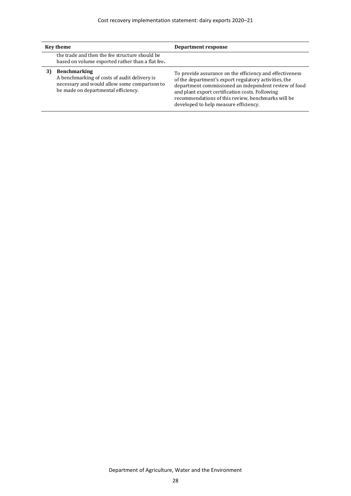| <b>Key theme</b>                                                                                                                                           | Department response                                                                                                                                                                                                                                                                                                          |
|------------------------------------------------------------------------------------------------------------------------------------------------------------|------------------------------------------------------------------------------------------------------------------------------------------------------------------------------------------------------------------------------------------------------------------------------------------------------------------------------|
| the trade and then the fee structure should be<br>based on volume exported rather than a flat fee.                                                         |                                                                                                                                                                                                                                                                                                                              |
| <b>Benchmarking</b><br>A benchmarking of costs of audit delivery is<br>necessary and would allow some comparison to<br>be made on departmental efficiency. | To provide assurance on the efficiency and effectiveness<br>of the department's export regulatory activities, the<br>department commissioned an independent review of food<br>and plant export certification costs. Following<br>recommendations of this review, benchmarks will be<br>developed to help measure efficiency. |